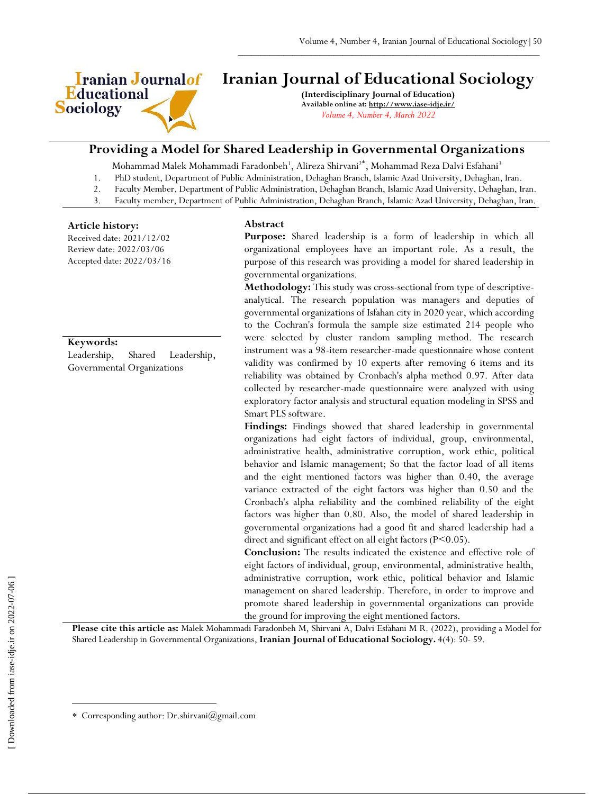

# **Iranian Journal of Educational Sociology**

 $\frac{1}{2}$  ,  $\frac{1}{2}$  ,  $\frac{1}{2}$  ,  $\frac{1}{2}$  ,  $\frac{1}{2}$  ,  $\frac{1}{2}$  ,  $\frac{1}{2}$  ,  $\frac{1}{2}$  ,  $\frac{1}{2}$  ,  $\frac{1}{2}$  ,  $\frac{1}{2}$  ,  $\frac{1}{2}$  ,  $\frac{1}{2}$  ,  $\frac{1}{2}$  ,  $\frac{1}{2}$  ,  $\frac{1}{2}$  ,  $\frac{1}{2}$  ,  $\frac{1}{2}$  ,  $\frac{1$ 

**(Interdisciplinary Journal of Education) Available online at:<http://www.iase-idje.ir/>** *Volume 4, Number 4, March 2022*

# **Providing a Model for Shared Leadership in Governmental Organizations**

Mohammad Malek Mohammadi Faradonbeh<sup>1</sup>, Alireza Shirvani<sup>2\*</sup>, Mohammad Reza Dalvi Esfahani<sup>3</sup>

1. PhD student, Department of Public Administration, Dehaghan Branch, Islamic Azad University, Dehaghan, Iran.

- 2. Faculty Member, Department of Public Administration, Dehaghan Branch, Islamic Azad University, Dehaghan, Iran.
- 3. Faculty member, Department of Public Administration, Dehaghan Branch, Islamic Azad University, Dehaghan, Iran.

#### **Article history:**

Received date: 2021/12/02 Review date: 2022/03/06 Accepted date: 2022/03/16

#### **Keywords:**

Leadership, Shared Leadership, Governmental Organizations

#### **Abstract**

**Purpose:** Shared leadership is a form of leadership in which all organizational employees have an important role. As a result, the purpose of this research was providing a model for shared leadership in governmental organizations.

**Methodology:** This study was cross-sectional from type of descriptiveanalytical. The research population was managers and deputies of governmental organizations of Isfahan city in 2020 year, which according to the Cochran's formula the sample size estimated 214 people who were selected by cluster random sampling method. The research instrument was a 98-item researcher-made questionnaire whose content validity was confirmed by 10 experts after removing 6 items and its reliability was obtained by Cronbach's alpha method 0.97. After data collected by researcher-made questionnaire were analyzed with using exploratory factor analysis and structural equation modeling in SPSS and Smart PLS software.

**Findings:** Findings showed that shared leadership in governmental organizations had eight factors of individual, group, environmental, administrative health, administrative corruption, work ethic, political behavior and Islamic management; So that the factor load of all items and the eight mentioned factors was higher than 0.40, the average variance extracted of the eight factors was higher than 0.50 and the Cronbach's alpha reliability and the combined reliability of the eight factors was higher than 0.80. Also, the model of shared leadership in governmental organizations had a good fit and shared leadership had a direct and significant effect on all eight factors (P<0.05).

**Conclusion:** The results indicated the existence and effective role of eight factors of individual, group, environmental, administrative health, administrative corruption, work ethic, political behavior and Islamic management on shared leadership. Therefore, in order to improve and promote shared leadership in governmental organizations can provide the ground for improving the eight mentioned factors.

**Please cite this article as:** Malek Mohammadi Faradonbeh M, Shirvani A, Dalvi Esfahani M R. (2022), providing a Model for Shared Leadership in Governmental Organizations, **Iranian Journal of Educational Sociology.** 4(4): 50- 59.

 $\overline{a}$ 

Corresponding author: Dr.shirvani@gmail.com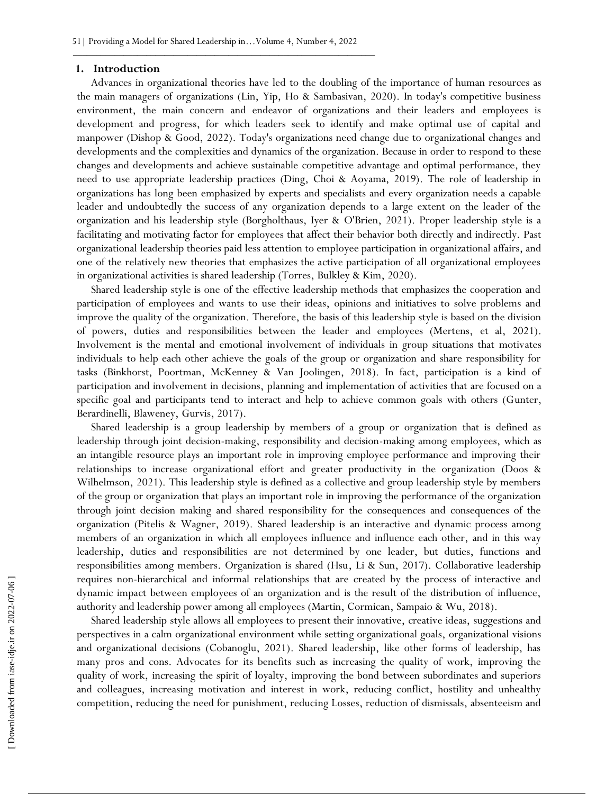#### **1. Introduction**

Advances in organizational theories have led to the doubling of the importance of human resources as the main managers of organizations (Lin, Yip, Ho & Sambasivan, 2020). In today's competitive business environment, the main concern and endeavor of organizations and their leaders and employees is development and progress, for which leaders seek to identify and make optimal use of capital and manpower (Dishop & Good, 2022). Today's organizations need change due to organizational changes and developments and the complexities and dynamics of the organization. Because in order to respond to these changes and developments and achieve sustainable competitive advantage and optimal performance, they need to use appropriate leadership practices (Ding, Choi & Aoyama, 2019). The role of leadership in organizations has long been emphasized by experts and specialists and every organization needs a capable leader and undoubtedly the success of any organization depends to a large extent on the leader of the organization and his leadership style (Borgholthaus, Iyer & O'Brien, 2021). Proper leadership style is a facilitating and motivating factor for employees that affect their behavior both directly and indirectly. Past organizational leadership theories paid less attention to employee participation in organizational affairs, and one of the relatively new theories that emphasizes the active participation of all organizational employees in organizational activities is shared leadership (Torres, Bulkley & Kim, 2020).

Shared leadership style is one of the effective leadership methods that emphasizes the cooperation and participation of employees and wants to use their ideas, opinions and initiatives to solve problems and improve the quality of the organization. Therefore, the basis of this leadership style is based on the division of powers, duties and responsibilities between the leader and employees (Mertens, et al, 2021). Involvement is the mental and emotional involvement of individuals in group situations that motivates individuals to help each other achieve the goals of the group or organization and share responsibility for tasks (Binkhorst, Poortman, McKenney & Van Joolingen, 2018). In fact, participation is a kind of participation and involvement in decisions, planning and implementation of activities that are focused on a specific goal and participants tend to interact and help to achieve common goals with others (Gunter, Berardinelli, Blaweney, Gurvis, 2017).

Shared leadership is a group leadership by members of a group or organization that is defined as leadership through joint decision-making, responsibility and decision-making among employees, which as an intangible resource plays an important role in improving employee performance and improving their relationships to increase organizational effort and greater productivity in the organization (Doos & Wilhelmson, 2021). This leadership style is defined as a collective and group leadership style by members of the group or organization that plays an important role in improving the performance of the organization through joint decision making and shared responsibility for the consequences and consequences of the organization (Pitelis & Wagner, 2019). Shared leadership is an interactive and dynamic process among members of an organization in which all employees influence and influence each other, and in this way leadership, duties and responsibilities are not determined by one leader, but duties, functions and responsibilities among members. Organization is shared (Hsu, Li & Sun, 2017). Collaborative leadership requires non-hierarchical and informal relationships that are created by the process of interactive and dynamic impact between employees of an organization and is the result of the distribution of influence, authority and leadership power among all employees (Martin, Cormican, Sampaio & Wu, 2018).

Shared leadership style allows all employees to present their innovative, creative ideas, suggestions and perspectives in a calm organizational environment while setting organizational goals, organizational visions and organizational decisions (Cobanoglu, 2021). Shared leadership, like other forms of leadership, has many pros and cons. Advocates for its benefits such as increasing the quality of work, improving the quality of work, increasing the spirit of loyalty, improving the bond between subordinates and superiors and colleagues, increasing motivation and interest in work, reducing conflict, hostility and unhealthy competition, reducing the need for punishment, reducing Losses, reduction of dismissals, absenteeism and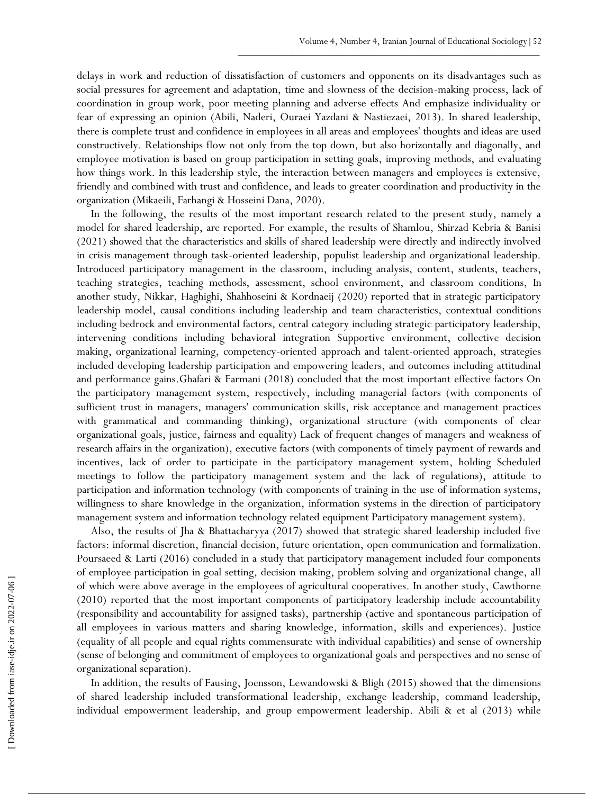delays in work and reduction of dissatisfaction of customers and opponents on its disadvantages such as social pressures for agreement and adaptation, time and slowness of the decision-making process, lack of coordination in group work, poor meeting planning and adverse effects And emphasize individuality or fear of expressing an opinion (Abili, Naderi, Ouraei Yazdani & Nastiezaei, 2013). In shared leadership, there is complete trust and confidence in employees in all areas and employees' thoughts and ideas are used constructively. Relationships flow not only from the top down, but also horizontally and diagonally, and employee motivation is based on group participation in setting goals, improving methods, and evaluating how things work. In this leadership style, the interaction between managers and employees is extensive, friendly and combined with trust and confidence, and leads to greater coordination and productivity in the organization (Mikaeili, Farhangi & Hosseini Dana, 2020).

In the following, the results of the most important research related to the present study, namely a model for shared leadership, are reported. For example, the results of Shamlou, Shirzad Kebria & Banisi (2021) showed that the characteristics and skills of shared leadership were directly and indirectly involved in crisis management through task-oriented leadership, populist leadership and organizational leadership. Introduced participatory management in the classroom, including analysis, content, students, teachers, teaching strategies, teaching methods, assessment, school environment, and classroom conditions, In another study, Nikkar, Haghighi, Shahhoseini & Kordnaeij (2020) reported that in strategic participatory leadership model, causal conditions including leadership and team characteristics, contextual conditions including bedrock and environmental factors, central category including strategic participatory leadership, intervening conditions including behavioral integration Supportive environment, collective decision making, organizational learning, competency-oriented approach and talent-oriented approach, strategies included developing leadership participation and empowering leaders, and outcomes including attitudinal and performance gains.Ghafari & Farmani (2018) concluded that the most important effective factors On the participatory management system, respectively, including managerial factors (with components of sufficient trust in managers, managers' communication skills, risk acceptance and management practices with grammatical and commanding thinking), organizational structure (with components of clear organizational goals, justice, fairness and equality) Lack of frequent changes of managers and weakness of research affairs in the organization), executive factors (with components of timely payment of rewards and incentives, lack of order to participate in the participatory management system, holding Scheduled meetings to follow the participatory management system and the lack of regulations), attitude to participation and information technology (with components of training in the use of information systems, willingness to share knowledge in the organization, information systems in the direction of participatory management system and information technology related equipment Participatory management system).

Also, the results of Jha & Bhattacharyya (2017) showed that strategic shared leadership included five factors: informal discretion, financial decision, future orientation, open communication and formalization. Poursaeed & Larti (2016) concluded in a study that participatory management included four components of employee participation in goal setting, decision making, problem solving and organizational change, all of which were above average in the employees of agricultural cooperatives. In another study, Cawthorne (2010) reported that the most important components of participatory leadership include accountability (responsibility and accountability for assigned tasks), partnership (active and spontaneous participation of all employees in various matters and sharing knowledge, information, skills and experiences). Justice (equality of all people and equal rights commensurate with individual capabilities) and sense of ownership (sense of belonging and commitment of employees to organizational goals and perspectives and no sense of organizational separation).

In addition, the results of Fausing, Joensson, Lewandowski & Bligh (2015) showed that the dimensions of shared leadership included transformational leadership, exchange leadership, command leadership, individual empowerment leadership, and group empowerment leadership. Abili & et al (2013) while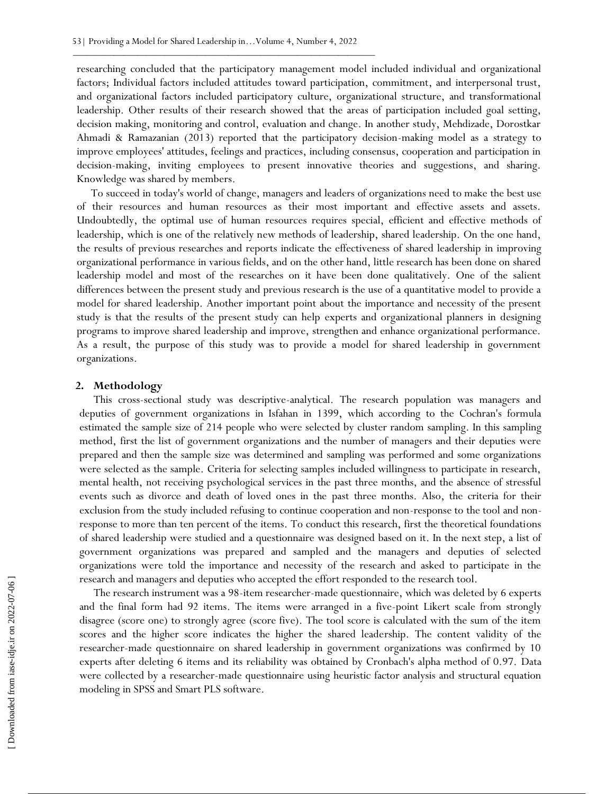researching concluded that the participatory management model included individual and organizational factors; Individual factors included attitudes toward participation, commitment, and interpersonal trust, and organizational factors included participatory culture, organizational structure, and transformational leadership. Other results of their research showed that the areas of participation included goal setting, decision making, monitoring and control, evaluation and change. In another study, Mehdizade, Dorostkar Ahmadi & Ramazanian (2013) reported that the participatory decision-making model as a strategy to improve employees' attitudes, feelings and practices, including consensus, cooperation and participation in decision-making, inviting employees to present innovative theories and suggestions, and sharing. Knowledge was shared by members.

To succeed in today's world of change, managers and leaders of organizations need to make the best use of their resources and human resources as their most important and effective assets and assets. Undoubtedly, the optimal use of human resources requires special, efficient and effective methods of leadership, which is one of the relatively new methods of leadership, shared leadership. On the one hand, the results of previous researches and reports indicate the effectiveness of shared leadership in improving organizational performance in various fields, and on the other hand, little research has been done on shared leadership model and most of the researches on it have been done qualitatively. One of the salient differences between the present study and previous research is the use of a quantitative model to provide a model for shared leadership. Another important point about the importance and necessity of the present study is that the results of the present study can help experts and organizational planners in designing programs to improve shared leadership and improve, strengthen and enhance organizational performance. As a result, the purpose of this study was to provide a model for shared leadership in government organizations.

#### **2. Methodology**

This cross-sectional study was descriptive-analytical. The research population was managers and deputies of government organizations in Isfahan in 1399, which according to the Cochran's formula estimated the sample size of 214 people who were selected by cluster random sampling. In this sampling method, first the list of government organizations and the number of managers and their deputies were prepared and then the sample size was determined and sampling was performed and some organizations were selected as the sample. Criteria for selecting samples included willingness to participate in research, mental health, not receiving psychological services in the past three months, and the absence of stressful events such as divorce and death of loved ones in the past three months. Also, the criteria for their exclusion from the study included refusing to continue cooperation and non-response to the tool and nonresponse to more than ten percent of the items. To conduct this research, first the theoretical foundations of shared leadership were studied and a questionnaire was designed based on it. In the next step, a list of government organizations was prepared and sampled and the managers and deputies of selected organizations were told the importance and necessity of the research and asked to participate in the research and managers and deputies who accepted the effort responded to the research tool.

The research instrument was a 98-item researcher-made questionnaire, which was deleted by 6 experts and the final form had 92 items. The items were arranged in a five-point Likert scale from strongly disagree (score one) to strongly agree (score five). The tool score is calculated with the sum of the item scores and the higher score indicates the higher the shared leadership. The content validity of the researcher-made questionnaire on shared leadership in government organizations was confirmed by 10 experts after deleting 6 items and its reliability was obtained by Cronbach's alpha method of 0.97. Data were collected by a researcher-made questionnaire using heuristic factor analysis and structural equation modeling in SPSS and Smart PLS software.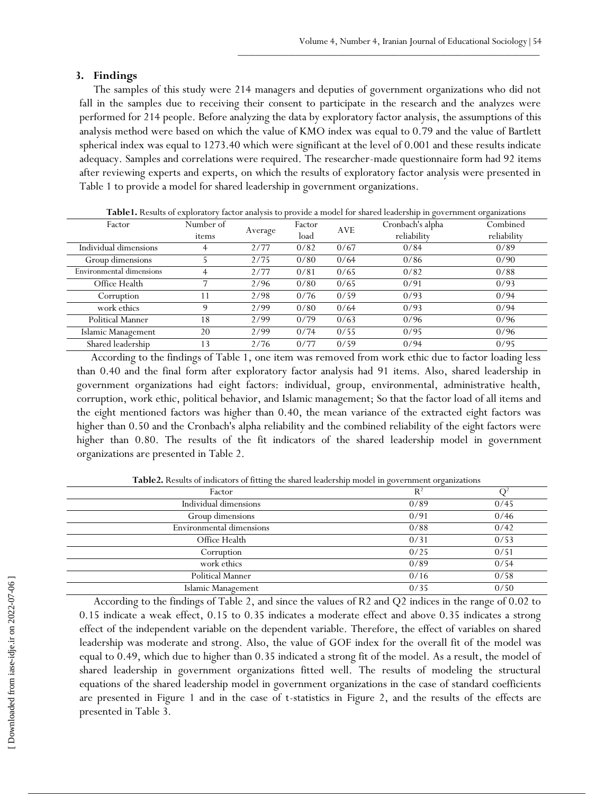## **3. Findings**

The samples of this study were 214 managers and deputies of government organizations who did not fall in the samples due to receiving their consent to participate in the research and the analyzes were performed for 214 people. Before analyzing the data by exploratory factor analysis, the assumptions of this analysis method were based on which the value of KMO index was equal to 0.79 and the value of Bartlett spherical index was equal to 1273.40 which were significant at the level of 0.001 and these results indicate adequacy. Samples and correlations were required. The researcher-made questionnaire form had 92 items after reviewing experts and experts, on which the results of exploratory factor analysis were presented in Table 1 to provide a model for shared leadership in government organizations.

| <b>Fable1.</b> Results of exploratory factor analysis to provide a model for shared leadership in government organizations |           |         |        |      |                  |             |  |  |
|----------------------------------------------------------------------------------------------------------------------------|-----------|---------|--------|------|------------------|-------------|--|--|
| Factor                                                                                                                     | Number of |         | Factor | AVE  | Cronbach's alpha | Combined    |  |  |
|                                                                                                                            | items     | Average | load   |      | reliability      | reliability |  |  |
| Individual dimensions                                                                                                      |           | 2/77    | 0/82   | 0/67 | 0/84             | 0/89        |  |  |
| Group dimensions                                                                                                           |           | 2/75    | 0/80   | 0/64 | 0/86             | 0/90        |  |  |
| Environmental dimensions                                                                                                   |           | 2/77    | 0/81   | 0/65 | 0/82             | 0/88        |  |  |
| Office Health                                                                                                              |           | 2/96    | 0/80   | 0/65 | 0/91             | 0/93        |  |  |
| Corruption                                                                                                                 |           | 2/98    | 0/76   | 0/59 | 0/93             | 0/94        |  |  |
| work ethics                                                                                                                | Q         | 2/99    | 0/80   | 0/64 | 0/93             | 0/94        |  |  |
| Political Manner                                                                                                           | 18        | 2/99    | 0/79   | 0/63 | 0/96             | 0/96        |  |  |
| Islamic Management                                                                                                         | 20        | 2/99    | 0/74   | 0/55 | 0/95             | 0/96        |  |  |
| Shared leadership                                                                                                          | 13        | 2/76    | 0/77   | 0/59 | 0/94             | 0/95        |  |  |

**Table1.** Results of exploratory factor analysis to provide a model for shared leadership in government organizations

According to the findings of Table 1, one item was removed from work ethic due to factor loading less than 0.40 and the final form after exploratory factor analysis had 91 items. Also, shared leadership in government organizations had eight factors: individual, group, environmental, administrative health, corruption, work ethic, political behavior, and Islamic management; So that the factor load of all items and the eight mentioned factors was higher than 0.40, the mean variance of the extracted eight factors was higher than 0.50 and the Cronbach's alpha reliability and the combined reliability of the eight factors were higher than 0.80. The results of the fit indicators of the shared leadership model in government organizations are presented in Table 2.

| Factor                   | $R^2$ |      |
|--------------------------|-------|------|
| Individual dimensions    | 0/89  | 0/45 |
| Group dimensions         | 0/91  | 0/46 |
| Environmental dimensions | 0/88  | 0/42 |
| Office Health            | 0/31  | 0/53 |
| Corruption               | 0/25  | 0/51 |
| work ethics              | 0/89  | 0/54 |
| <b>Political Manner</b>  | 0/16  | 0/58 |
| Islamic Management       | 0/35  | 0/50 |

**Table2.** Results of indicators of fitting the shared leadership model in government organizations

According to the findings of Table 2, and since the values of R2 and Q2 indices in the range of 0.02 to 0.15 indicate a weak effect, 0.15 to 0.35 indicates a moderate effect and above 0.35 indicates a strong effect of the independent variable on the dependent variable. Therefore, the effect of variables on shared leadership was moderate and strong. Also, the value of GOF index for the overall fit of the model was equal to 0.49, which due to higher than 0.35 indicated a strong fit of the model. As a result, the model of shared leadership in government organizations fitted well. The results of modeling the structural equations of the shared leadership model in government organizations in the case of standard coefficients are presented in Figure 1 and in the case of t-statistics in Figure 2, and the results of the effects are presented in Table 3.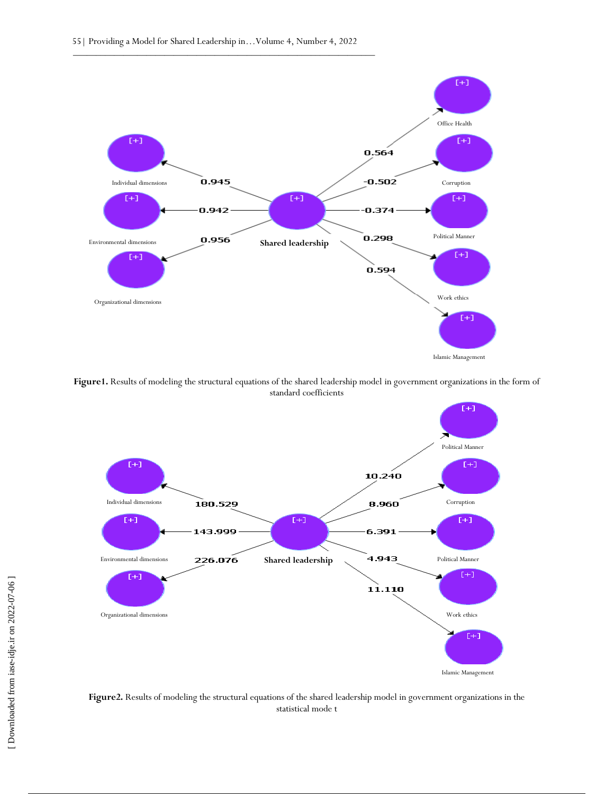

**Figure1.** Results of modeling the structural equations of the shared leadership model in government organizations in the form of standard coefficients



**Figure2.** Results of modeling the structural equations of the shared leadership model in government organizations in the statistical mode t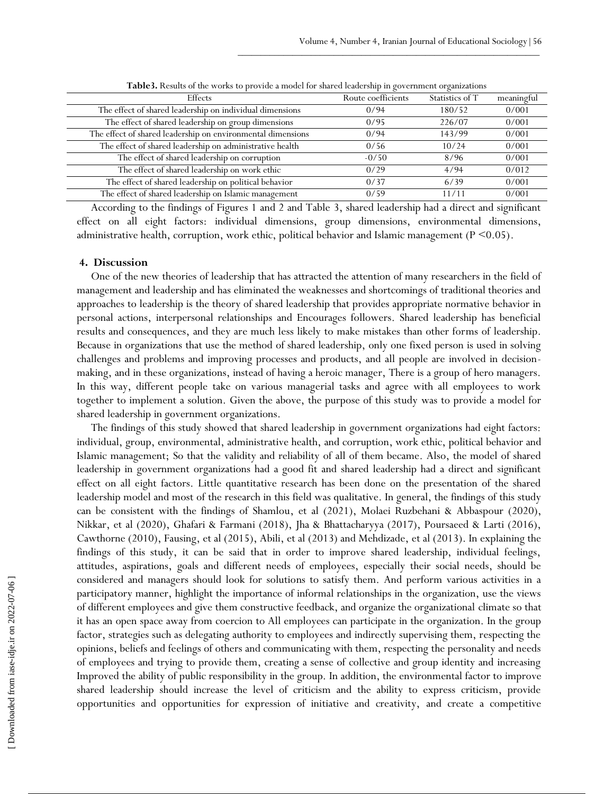| Effects                                                     | Route coefficients | Statistics of T | meaningful |
|-------------------------------------------------------------|--------------------|-----------------|------------|
| The effect of shared leadership on individual dimensions    | 0/94               | 180/52          | 0/001      |
| The effect of shared leadership on group dimensions         | 0/95               | 226/07          | 0/001      |
| The effect of shared leadership on environmental dimensions | 0/94               | 143/99          | 0/001      |
| The effect of shared leadership on administrative health    | 0/56               | 10/24           | 0/001      |
| The effect of shared leadership on corruption               | $-0/50$            | 8/96            | 0/001      |
| The effect of shared leadership on work ethic               | 0/29               | 4/94            | 0/012      |
| The effect of shared leadership on political behavior       | 0/37               | 6/39            | 0/001      |
| The effect of shared leadership on Islamic management       | 0/59               | 11/11           | 0/001      |

**Table3.** Results of the works to provide a model for shared leadership in government organizations

According to the findings of Figures 1 and 2 and Table 3, shared leadership had a direct and significant effect on all eight factors: individual dimensions, group dimensions, environmental dimensions, administrative health, corruption, work ethic, political behavior and Islamic management ( $P \le 0.05$ ).

## **4. Discussion**

One of the new theories of leadership that has attracted the attention of many researchers in the field of management and leadership and has eliminated the weaknesses and shortcomings of traditional theories and approaches to leadership is the theory of shared leadership that provides appropriate normative behavior in personal actions, interpersonal relationships and Encourages followers. Shared leadership has beneficial results and consequences, and they are much less likely to make mistakes than other forms of leadership. Because in organizations that use the method of shared leadership, only one fixed person is used in solving challenges and problems and improving processes and products, and all people are involved in decisionmaking, and in these organizations, instead of having a heroic manager, There is a group of hero managers. In this way, different people take on various managerial tasks and agree with all employees to work together to implement a solution. Given the above, the purpose of this study was to provide a model for shared leadership in government organizations.

The findings of this study showed that shared leadership in government organizations had eight factors: individual, group, environmental, administrative health, and corruption, work ethic, political behavior and Islamic management; So that the validity and reliability of all of them became. Also, the model of shared leadership in government organizations had a good fit and shared leadership had a direct and significant effect on all eight factors. Little quantitative research has been done on the presentation of the shared leadership model and most of the research in this field was qualitative. In general, the findings of this study can be consistent with the findings of Shamlou, et al (2021), Molaei Ruzbehani & Abbaspour (2020), Nikkar, et al (2020), Ghafari & Farmani (2018), Jha & Bhattacharyya (2017), Poursaeed & Larti (2016), Cawthorne (2010), Fausing, et al (2015), Abili, et al (2013) and Mehdizade, et al (2013). In explaining the findings of this study, it can be said that in order to improve shared leadership, individual feelings, attitudes, aspirations, goals and different needs of employees, especially their social needs, should be considered and managers should look for solutions to satisfy them. And perform various activities in a participatory manner, highlight the importance of informal relationships in the organization, use the views of different employees and give them constructive feedback, and organize the organizational climate so that it has an open space away from coercion to All employees can participate in the organization. In the group factor, strategies such as delegating authority to employees and indirectly supervising them, respecting the opinions, beliefs and feelings of others and communicating with them, respecting the personality and needs of employees and trying to provide them, creating a sense of collective and group identity and increasing Improved the ability of public responsibility in the group. In addition, the environmental factor to improve shared leadership should increase the level of criticism and the ability to express criticism, provide opportunities and opportunities for expression of initiative and creativity, and create a competitive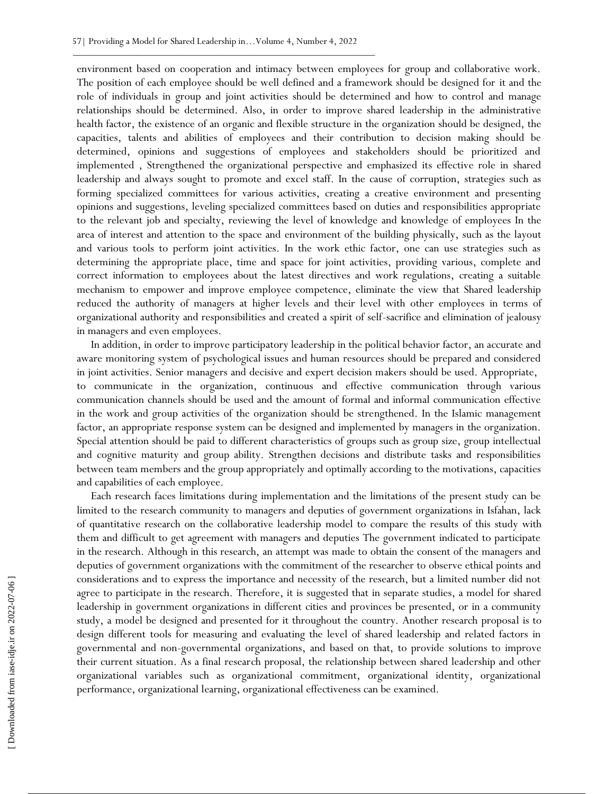environment based on cooperation and intimacy between employees for group and collaborative work. The position of each employee should be well defined and a framework should be designed for it and the role of individuals in group and joint activities should be determined and how to control and manage relationships should be determined. Also, in order to improve shared leadership in the administrative health factor, the existence of an organic and flexible structure in the organization should be designed, the capacities, talents and abilities of employees and their contribution to decision making should be determined, opinions and suggestions of employees and stakeholders should be prioritized and implemented , Strengthened the organizational perspective and emphasized its effective role in shared leadership and always sought to promote and excel staff. In the cause of corruption, strategies such as forming specialized committees for various activities, creating a creative environment and presenting opinions and suggestions, leveling specialized committees based on duties and responsibilities appropriate to the relevant job and specialty, reviewing the level of knowledge and knowledge of employees In the area of interest and attention to the space and environment of the building physically, such as the layout and various tools to perform joint activities. In the work ethic factor, one can use strategies such as determining the appropriate place, time and space for joint activities, providing various, complete and correct information to employees about the latest directives and work regulations, creating a suitable mechanism to empower and improve employee competence, eliminate the view that Shared leadership reduced the authority of managers at higher levels and their level with other employees in terms of organizational authority and responsibilities and created a spirit of self-sacrifice and elimination of jealousy in managers and even employees.

In addition, in order to improve participatory leadership in the political behavior factor, an accurate and aware monitoring system of psychological issues and human resources should be prepared and considered in joint activities. Senior managers and decisive and expert decision makers should be used. Appropriate, to communicate in the organization, continuous and effective communication through various communication channels should be used and the amount of formal and informal communication effective in the work and group activities of the organization should be strengthened. In the Islamic management factor, an appropriate response system can be designed and implemented by managers in the organization. Special attention should be paid to different characteristics of groups such as group size, group intellectual and cognitive maturity and group ability. Strengthen decisions and distribute tasks and responsibilities between team members and the group appropriately and optimally according to the motivations, capacities and capabilities of each employee.

Each research faces limitations during implementation and the limitations of the present study can be limited to the research community to managers and deputies of government organizations in Isfahan, lack of quantitative research on the collaborative leadership model to compare the results of this study with them and difficult to get agreement with managers and deputies The government indicated to participate in the research. Although in this research, an attempt was made to obtain the consent of the managers and deputies of government organizations with the commitment of the researcher to observe ethical points and considerations and to express the importance and necessity of the research, but a limited number did not agree to participate in the research. Therefore, it is suggested that in separate studies, a model for shared leadership in government organizations in different cities and provinces be presented, or in a community study, a model be designed and presented for it throughout the country. Another research proposal is to design different tools for measuring and evaluating the level of shared leadership and related factors in governmental and non-governmental organizations, and based on that, to provide solutions to improve their current situation. As a final research proposal, the relationship between shared leadership and other organizational variables such as organizational commitment, organizational identity, organizational performance, organizational learning, organizational effectiveness can be examined.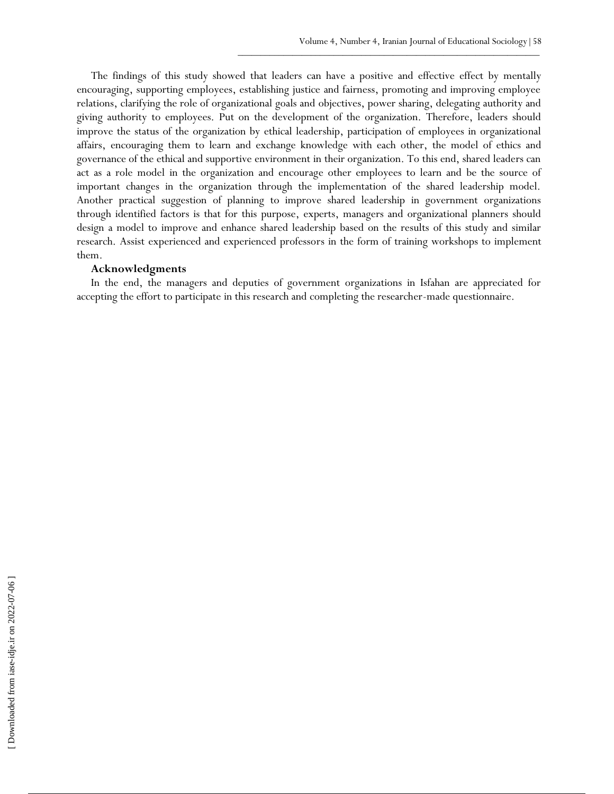The findings of this study showed that leaders can have a positive and effective effect by mentally encouraging, supporting employees, establishing justice and fairness, promoting and improving employee relations, clarifying the role of organizational goals and objectives, power sharing, delegating authority and giving authority to employees. Put on the development of the organization. Therefore, leaders should improve the status of the organization by ethical leadership, participation of employees in organizational affairs, encouraging them to learn and exchange knowledge with each other, the model of ethics and governance of the ethical and supportive environment in their organization. To this end, shared leaders can act as a role model in the organization and encourage other employees to learn and be the source of important changes in the organization through the implementation of the shared leadership model. Another practical suggestion of planning to improve shared leadership in government organizations through identified factors is that for this purpose, experts, managers and organizational planners should design a model to improve and enhance shared leadership based on the results of this study and similar research. Assist experienced and experienced professors in the form of training workshops to implement them.

## **Acknowledgments**

In the end, the managers and deputies of government organizations in Isfahan are appreciated for accepting the effort to participate in this research and completing the researcher-made questionnaire.